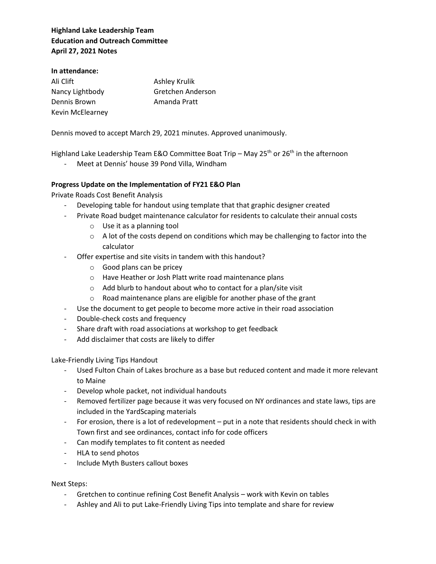## **Highland Lake Leadership Team Education and Outreach Committee April 27, 2021 Notes**

#### **In attendance:**

| Ali Clift        | Ashley Krulik     |
|------------------|-------------------|
| Nancy Lightbody  | Gretchen Anderson |
| Dennis Brown     | Amanda Pratt      |
| Kevin McElearney |                   |

Dennis moved to accept March 29, 2021 minutes. Approved unanimously.

Highland Lake Leadership Team E&O Committee Boat Trip – May 25<sup>th</sup> or 26<sup>th</sup> in the afternoon

- Meet at Dennis' house 39 Pond Villa, Windham

### **Progress Update on the Implementation of FY21 E&O Plan**

Private Roads Cost Benefit Analysis

- Developing table for handout using template that that graphic designer created
- Private Road budget maintenance calculator for residents to calculate their annual costs
	- o Use it as a planning tool
	- $\circ$  A lot of the costs depend on conditions which may be challenging to factor into the calculator
- Offer expertise and site visits in tandem with this handout?
	- o Good plans can be pricey
	- o Have Heather or Josh Platt write road maintenance plans
	- o Add blurb to handout about who to contact for a plan/site visit
	- o Road maintenance plans are eligible for another phase of the grant
- Use the document to get people to become more active in their road association
- Double-check costs and frequency
- Share draft with road associations at workshop to get feedback
- Add disclaimer that costs are likely to differ

### Lake-Friendly Living Tips Handout

- Used Fulton Chain of Lakes brochure as a base but reduced content and made it more relevant to Maine
- Develop whole packet, not individual handouts
- Removed fertilizer page because it was very focused on NY ordinances and state laws, tips are included in the YardScaping materials
- For erosion, there is a lot of redevelopment put in a note that residents should check in with Town first and see ordinances, contact info for code officers
- Can modify templates to fit content as needed
- HLA to send photos
- Include Myth Busters callout boxes

### Next Steps:

- Gretchen to continue refining Cost Benefit Analysis work with Kevin on tables
- Ashley and Ali to put Lake-Friendly Living Tips into template and share for review